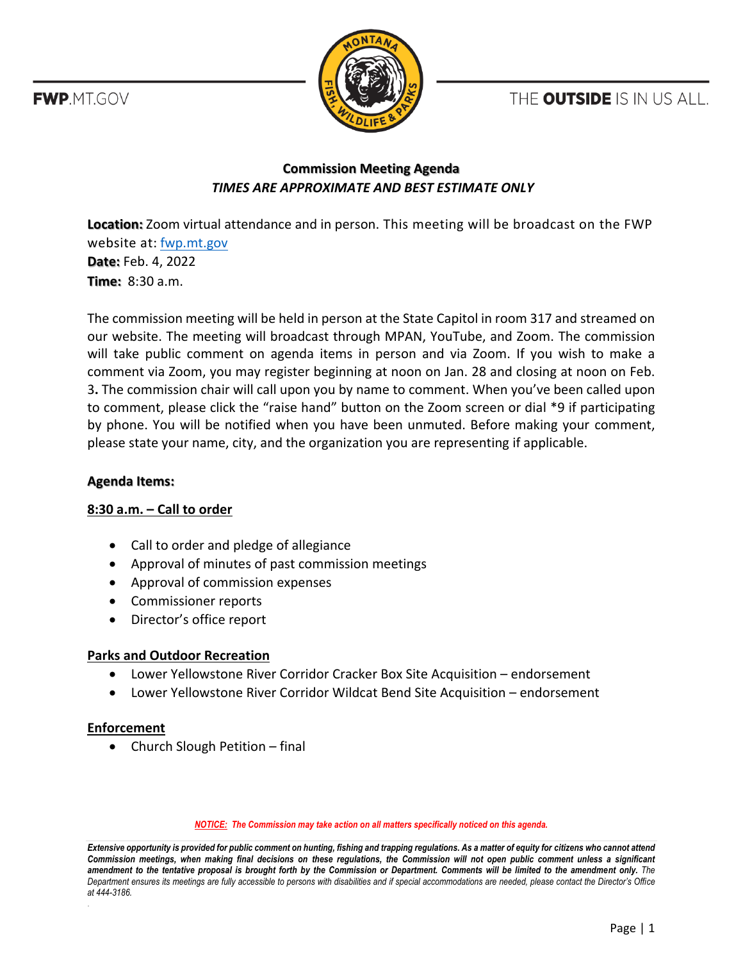THE OUTSIDE IS IN US ALL.

**FWP.MT.GOV** 



# **Commission Meeting Agenda** *TIMES ARE APPROXIMATE AND BEST ESTIMATE ONLY*

**Location:** Zoom virtual attendance and in person. This meeting will be broadcast on the FWP website at: [fwp.mt.gov](https://fwp.mt.gov/) **Date:** Feb. 4, 2022 **Time:** 8:30 a.m.

The commission meeting will be held in person at the State Capitol in room 317 and streamed on our website. The meeting will broadcast through MPAN, YouTube, and Zoom. The commission will take public comment on agenda items in person and via Zoom. If you wish to make a comment via Zoom, you may register beginning at noon on Jan. 28 and closing at noon on Feb. 3**.** The commission chair will call upon you by name to comment. When you've been called upon to comment, please click the "raise hand" button on the Zoom screen or dial \*9 if participating by phone. You will be notified when you have been unmuted. Before making your comment, please state your name, city, and the organization you are representing if applicable.

### **Agenda Items:**

## **8:30 a.m. – Call to order**

- Call to order and pledge of allegiance
- Approval of minutes of past commission meetings
- Approval of commission expenses
- Commissioner reports
- Director's office report

## **Parks and Outdoor Recreation**

- Lower Yellowstone River Corridor Cracker Box Site Acquisition endorsement
- Lower Yellowstone River Corridor Wildcat Bend Site Acquisition endorsement

## **Enforcement**

.

• Church Slough Petition – final

*NOTICE: The Commission may take action on all matters specifically noticed on this agenda.*

*Extensive opportunity is provided for public comment on hunting, fishing and trapping regulations. As a matter of equity for citizens who cannot attend Commission meetings, when making final decisions on these regulations, the Commission will not open public comment unless a significant amendment to the tentative proposal is brought forth by the Commission or Department. Comments will be limited to the amendment only. The Department ensures its meetings are fully accessible to persons with disabilities and if special accommodations are needed, please contact the Director's Office at 444-3186.*